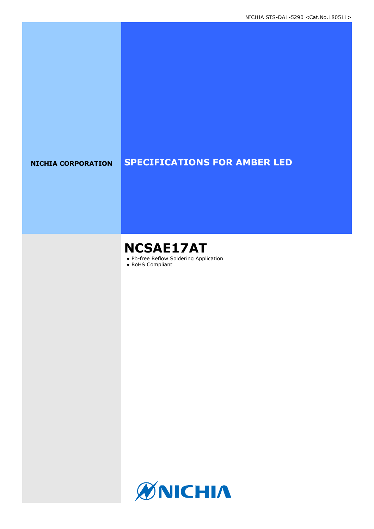### **NICHIA CORPORATION SPECIFICATIONS FOR AMBER LED**

# **NCSAE17AT**

- Pb-free Reflow Soldering Application
- RoHS Compliant

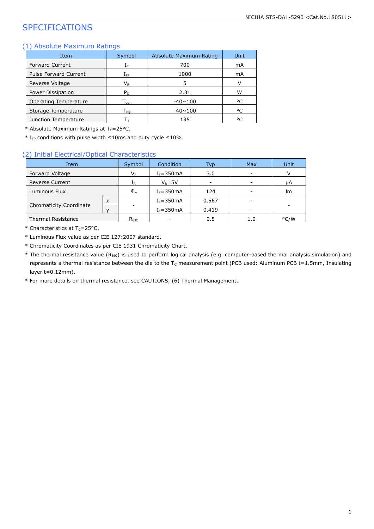### SPECIFICATIONS

### (1) Absolute Maximum Ratings

| Item                         | Symbol                       | Absolute Maximum Rating | Unit |
|------------------------------|------------------------------|-------------------------|------|
| <b>Forward Current</b>       | ΙF                           | 700                     | mA   |
| <b>Pulse Forward Current</b> | ${\rm I_{FP}}$               | 1000                    | mA   |
| Reverse Voltage              | $V_{R}$                      | 5                       | v    |
| Power Dissipation            | $P_D$                        | 2.31                    | w    |
| Operating Temperature        | ${\mathsf T}_{\textsf{oor}}$ | $-40 \sim 100$          | °C   |
| Storage Temperature          | ${\mathsf T}_{\textsf{sta}}$ | $-40 \sim 100$          | °C   |
| Junction Temperature         |                              | 135                     | °C   |

\* Absolute Maximum Ratings at  $T_c = 25$ °C.

\* I<sub>FP</sub> conditions with pulse width  $\leq$ 10ms and duty cycle  $\leq$ 10%.

#### (2) Initial Electrical/Optical Characteristics

| Item                      |   | Symbol         | Condition     | Typ   | <b>Max</b> | Unit |
|---------------------------|---|----------------|---------------|-------|------------|------|
| Forward Voltage           |   | VF             | $I_F = 350mA$ | 3.0   |            |      |
| <b>Reverse Current</b>    |   | 1 <sub>R</sub> | $V_R = 5V$    | ۰     |            | μA   |
| Luminous Flux             |   | $\Phi_{v}$     | $I_F = 350mA$ | 124   |            | lm.  |
|                           | X |                | $I_F = 350mA$ | 0.567 | -          |      |
| Chromaticity Coordinate   |   |                | $I_F = 350mA$ | 0.419 | -          |      |
| <b>Thermal Resistance</b> |   | $R_{\theta$ JC | ۰             | 0.5   | 1.0        | °C/W |

\* Characteristics at  $T_c = 25$ °C.

\* Luminous Flux value as per CIE 127:2007 standard.

- \* Chromaticity Coordinates as per CIE 1931 Chromaticity Chart.
- \* The thermal resistance value (RθJC) is used to perform logical analysis (e.g. computer-based thermal analysis simulation) and represents a thermal resistance between the die to the  $T_c$  measurement point (PCB used: Aluminum PCB t=1.5mm, Insulating layer t=0.12mm).

\* For more details on thermal resistance, see CAUTIONS, (6) Thermal Management.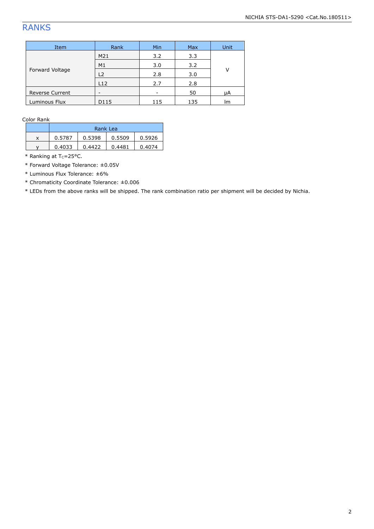### RANKS

| Item                   | Rank           | Min | Max | Unit |
|------------------------|----------------|-----|-----|------|
| Forward Voltage        | M21            | 3.2 | 3.3 |      |
|                        | M1             | 3.0 | 3.2 | v    |
|                        | L <sub>2</sub> | 2.8 | 3.0 |      |
|                        | L12            | 2.7 | 2.8 |      |
| <b>Reverse Current</b> |                |     | 50  | μA   |
| Luminous Flux          | D115           | 115 | 135 | Im   |

Color Rank

|   | Rank Lea |        |        |        |
|---|----------|--------|--------|--------|
| X | 0.5787   | 0.5398 | 0.5509 | 0.5926 |
| v | 0.4033   | 0.4422 | 0.4481 | 0.4074 |

 $*$  Ranking at T<sub>c</sub>=25°C.

\* Forward Voltage Tolerance: ±0.05V

\* Luminous Flux Tolerance: ±6%

\* Chromaticity Coordinate Tolerance: ±0.006

\* LEDs from the above ranks will be shipped. The rank combination ratio per shipment will be decided by Nichia.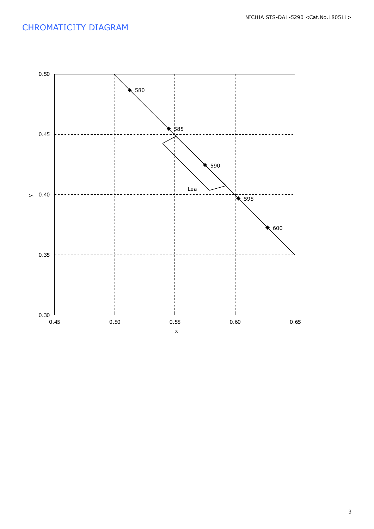### CHROMATICITY DIAGRAM

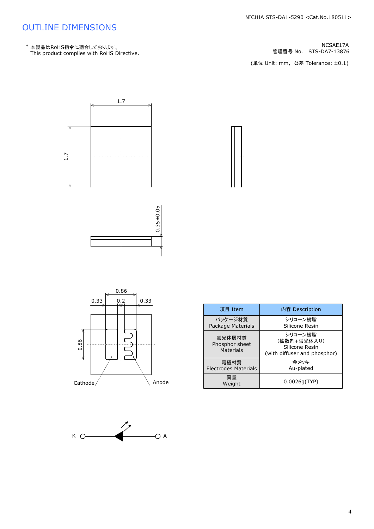### OUTLINE DIMENSIONS

管理番号 No.





| 項目 Item                                      | 内容 Description                                                           |
|----------------------------------------------|--------------------------------------------------------------------------|
| パッケージ材質<br>Package Materials                 | シリコーン樹脂<br>Silicone Resin                                                |
| 蛍光体層材質<br>Phosphor sheet<br><b>Materials</b> | シリコーン樹脂<br>(拡散剤+蛍光体入り)<br>Silicone Resin<br>(with diffuser and phosphor) |
| 雷極材質<br><b>Electrodes Materials</b>          | 金メッキ<br>Au-plated                                                        |
| 質量<br>Weight                                 | 0.0026q(TYP)                                                             |



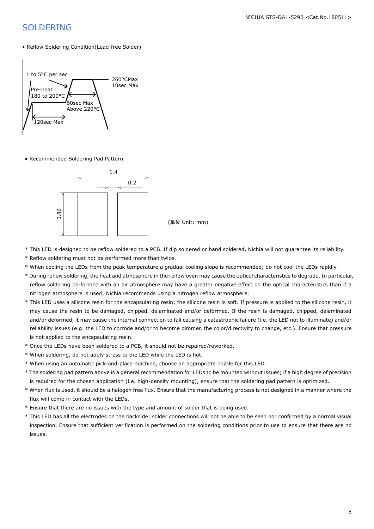### SOLDERING

#### • Reflow Soldering Condition(Lead-free Solder)



● Recommended Soldering Pad Pattern



- \* This LED is designed to be reflow soldered to a PCB. If dip soldered or hand soldered, Nichia will not guarantee its reliability.
- \* Reflow soldering must not be performed more than twice.
- \* When cooling the LEDs from the peak temperature a gradual cooling slope is recommended; do not cool the LEDs rapidly.
- \* During reflow soldering, the heat and atmosphere in the reflow oven may cause the optical characteristics to degrade. In particular, reflow soldering performed with an air atmosphere may have a greater negative effect on the optical characteristics than if a nitrogen atmosphere is used; Nichia recommends using a nitrogen reflow atmosphere.
- \* This LED uses a silicone resin for the encapsulating resin; the silicone resin is soft. If pressure is applied to the silicone resin, it may cause the resin to be damaged, chipped, delaminated and/or deformed. If the resin is damaged, chipped, delaminated and/or deformed, it may cause the internal connection to fail causing a catastrophic failure (i.e. the LED not to illuminate) and/or reliability issues (e.g. the LED to corrode and/or to become dimmer, the color/directivity to change, etc.). Ensure that pressure is not applied to the encapsulating resin.
- \* Once the LEDs have been soldered to a PCB, it should not be repaired/reworked.
- \* When soldering, do not apply stress to the LED while the LED is hot.
- \* When using an automatic pick-and-place machine, choose an appropriate nozzle for this LED.
- \* The soldering pad pattern above is a general recommendation for LEDs to be mounted without issues; if a high degree of precision is required for the chosen application (i.e. high-density mounting), ensure that the soldering pad pattern is optimized.
- \* When flux is used, it should be a halogen free flux. Ensure that the manufacturing process is not designed in a manner where the flux will come in contact with the LEDs.
- \* Ensure that there are no issues with the type and amount of solder that is being used.
- \* This LED has all the electrodes on the backside; solder connections will not be able to be seen nor confirmed by a normal visual inspection. Ensure that sufficient verification is performed on the soldering conditions prior to use to ensure that there are no issues.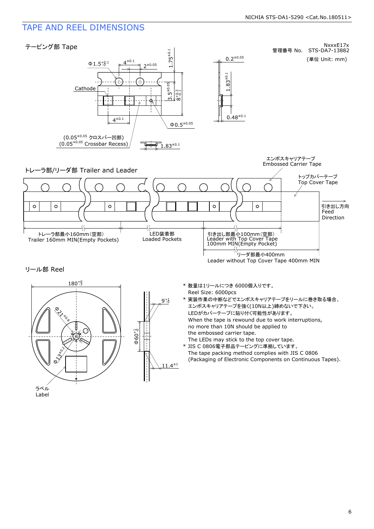### TAPE AND REEL DIMENSIONS

ラベル Label

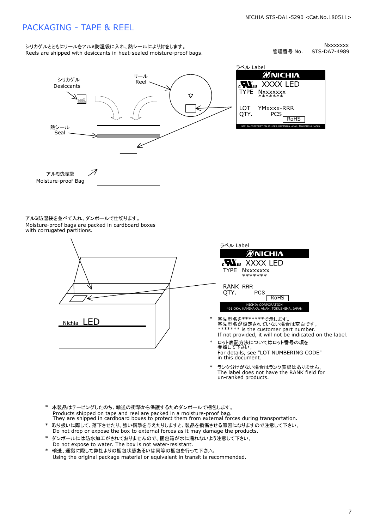### PACKAGING - TAPE & REEL

シリカゲルとともにリールをアルミ防湿袋に入れ、熱シールにより封をします。<br>Reels are shipped with desiccants in heat-sealed moisture-proof bags.

STS-DA7-4989 Nxxxxxxx 管理番号 No.



ØNICHIA **Row** XXXX LED<br>TYPE Nxxxxxxx<br>LOT YMxxxx-RRR<br>QTY. PCS TYPE NXXXXXXX<br>\*\*\*\*\*\*\*<br>QTY. PCS ROHS<br>nichia corporation 491 oka, kaminaka, anan, tokushima, japan<br>nichia corporation 491 oka, kaminaka, anan, tokushima, japan YMxxxx-RRR

アルミ防湿袋を並べて入れ、ダンボールで仕切ります。<br>Moisture-proof bags are packed in cardboard boxes<br>with corrugated partitions.





- 客先型名を\*\*\*\*\*\*\*\*で示します。<br>客先型名が設定されていない場合は空白です。<br>\*\*\*\*\*\*\* is the customer part number.<br>If not provided, it will not be indicated on the label.
- \* ロット表記方法についてはロット番号の項を<br>参照して下さい。<br>For details, see "LOT NUMBERING C<br>in this document. For details, see "LOT NUMBERING CODE"
- \* ランク分けがない場合はランク表記はありません。<br>The label does not have the RANK field for<br>un-ranked products.
- 
- \* 本製品はテーピングしたのち、輸送の衝撃から保護するためダンボールで梱包します。<br>Products shipped on tape and reel are packed in a moisture-proof bag.<br>They are shipped in cardboard boxes to protect them from external forces during transportation.<br>\* 取り扱いに際して、落
- ダンボールには防水加工がされておりませんので、梱包箱が水に濡れないよう注意して下さい。<br>Do not expose to water. The box is not water-resistant. \* 取り扱いに際して、落下させたり、強い衝撃を与えたりしますと、製品を損傷させる原因になりますので注意して下さい。<br>Do not drop or expose the box to external forces as it may damage the products.<br>\* ダンボールには防水加工がされておりませんので、梱包箱が水に濡れないよう注意して下さい。<br>Do not expose to water. The box is n
-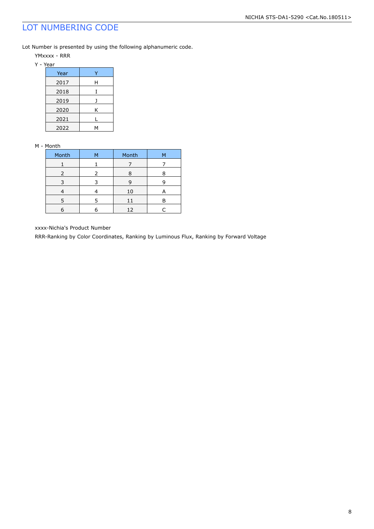### LOT NUMBERING CODE

Lot Number is presented by using the following alphanumeric code.

- YMxxxx RRR
- Y Year

| Year |   |
|------|---|
| 2017 | н |
| 2018 |   |
| 2019 |   |
| 2020 | Κ |
| 2021 |   |
| 2022 |   |

#### M - Month

| Month | м | Month | м |
|-------|---|-------|---|
|       |   |       |   |
| 2     | っ | Я     |   |
|       |   | q     |   |
|       |   | 10    | А |
| 5     | 5 | 11    | P |
|       |   | 12    |   |

xxxx-Nichia's Product Number

RRR-Ranking by Color Coordinates, Ranking by Luminous Flux, Ranking by Forward Voltage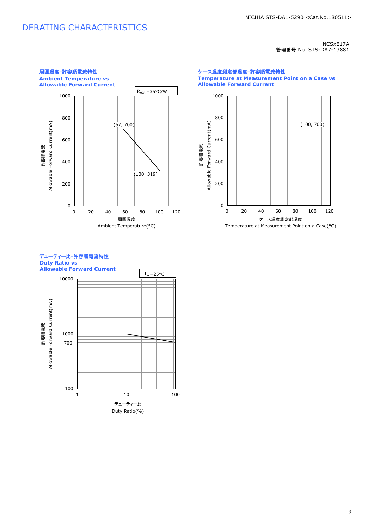### DERATING CHARACTERISTICS

#### NCSxE17A 管理番号 No. STS-DA7-13881



ケース温度測定部温度-許容順電流特性 **Temperature at Measurement Point on a Case vs Allowable Forward Current**



### デューティー比-許容順電流特性 **Duty Ratio vs**

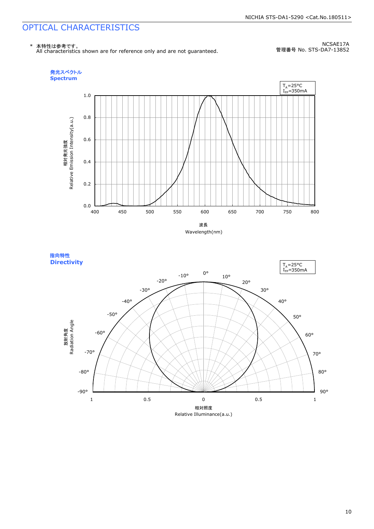## OPTICAL CHARACTERISTICS



NCSAE17A 管理番号 No. STS-DA7-13852





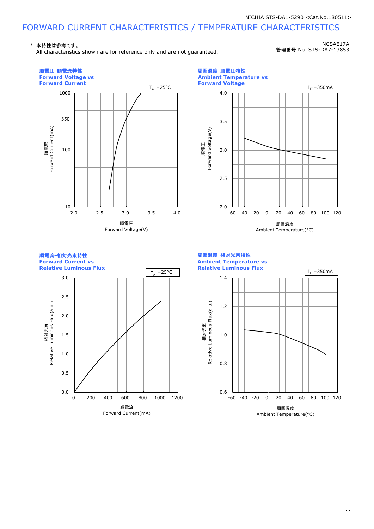### FORWARD CURRENT CHARACTERISTICS / TEMPERATURE CHARACTERISTICS

\* 本特性は参考です。

All characteristics shown are for reference only and are not guaranteed.

NCSAE17A 管理番号 No. STS-DA7-13853



11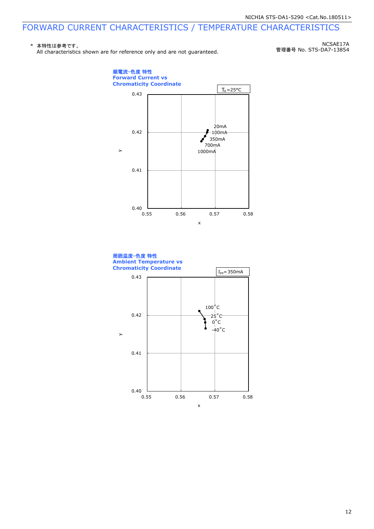### FORWARD CURRENT CHARACTERISTICS / TEMPERATURE CHARACTERISTICS

#### \* 本特性は参考です。 All characteristics shown are for reference only and are not guaranteed.

NCSAE17A 管理番号 No. STS-DA7-13854



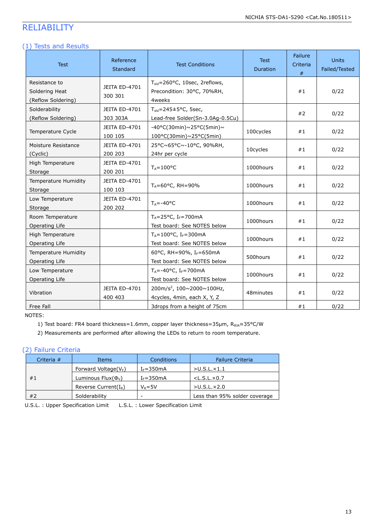### RELIABILITY

### (1) Tests and Results

| <b>Test</b>                                           | Reference<br>Standard           | <b>Test Conditions</b>                                                                | <b>Test</b><br>Duration | Failure<br>Criteria<br># | <b>Units</b><br>Failed/Tested |
|-------------------------------------------------------|---------------------------------|---------------------------------------------------------------------------------------|-------------------------|--------------------------|-------------------------------|
| Resistance to<br>Soldering Heat<br>(Reflow Soldering) | <b>JEITA ED-4701</b><br>300 301 | $T_{\text{sid}} = 260$ °C, 10sec, 2reflows,<br>Precondition: 30°C, 70%RH,<br>4weeks   |                         | #1                       | 0/22                          |
| Solderability<br>(Reflow Soldering)                   | JEITA ED-4701<br>303 303A       | $T_{\text{sid}} = 245 \pm 5^{\circ}$ C, 5sec,<br>Lead-free Solder(Sn-3.0Ag-0.5Cu)     |                         | #2                       | 0/22                          |
| Temperature Cycle                                     | JEITA ED-4701<br>100 105        | -40°C(30min)~25°C(5min)~<br>$100^{\circ}$ C(30min)~25°C(5min)                         | 100cycles               | #1                       | 0/22                          |
| Moisture Resistance<br>(Cyclic)                       | <b>JEITA ED-4701</b><br>200 203 | 25°C~65°C~-10°C, 90%RH,<br>24hr per cycle                                             | 10cycles                | #1                       | 0/22                          |
| High Temperature<br>Storage                           | JEITA ED-4701<br>200 201        | $T_A = 100^{\circ}C$                                                                  | 1000hours               | #1                       | 0/22                          |
| Temperature Humidity<br>Storage                       | JEITA ED-4701<br>100 103        | $T_A = 60^{\circ}$ C, RH = 90%                                                        | 1000hours               | #1                       | 0/22                          |
| Low Temperature<br>Storage                            | JEITA ED-4701<br>200 202        | $T_A = -40$ °C                                                                        | 1000hours               | #1                       | 0/22                          |
| Room Temperature<br>Operating Life                    |                                 | $T_A = 25$ °C, I <sub>F</sub> =700mA<br>Test board: See NOTES below                   | 1000hours               | #1                       | 0/22                          |
| High Temperature<br>Operating Life                    |                                 | $T_A = 100^{\circ}$ C, I <sub>F</sub> =300mA<br>Test board: See NOTES below           | 1000hours               | #1                       | 0/22                          |
| Temperature Humidity<br>Operating Life                |                                 | 60°C, RH=90%, IF=650mA<br>Test board: See NOTES below                                 | 500hours                | #1                       | 0/22                          |
| Low Temperature<br>Operating Life                     |                                 | $T_A = -40$ °C, I <sub>F</sub> =700mA<br>Test board: See NOTES below                  | 1000hours               | #1                       | 0/22                          |
| Vibration                                             | JEITA ED-4701<br>400 403        | 200m/s <sup>2</sup> , $100 \times 2000 \times 100$ Hz,<br>4cycles, 4min, each X, Y, Z | 48minutes               | #1                       | 0/22                          |
| Free Fall                                             |                                 | 3drops from a height of 75cm                                                          |                         | #1                       | 0/22                          |

NOTES:

1) Test board: FR4 board thickness=1.6mm, copper layer thickness=35µm, R<sub>0JA</sub>≈35°C/W

2) Measurements are performed after allowing the LEDs to return to room temperature.

#### (2) Failure Criteria

| Criteria $#$ | Items                      | Conditions    | <b>Failure Criteria</b>       |
|--------------|----------------------------|---------------|-------------------------------|
|              | Forward Voltage( $V_F$ )   | $I_F = 350mA$ | $>$ U.S.L. $\times$ 1.1       |
| #1           | Luminous Flux $(\Phi_{V})$ | $I_F = 350mA$ | $<$ L.S.L. $\times$ 0.7       |
|              | Reverse Current $(I_R)$    | $V_R = 5V$    | $>$ U.S.L. $\times$ 2.0       |
| #2           | Solderability              | -             | Less than 95% solder coverage |

U.S.L. : Upper Specification Limit L.S.L. : Lower Specification Limit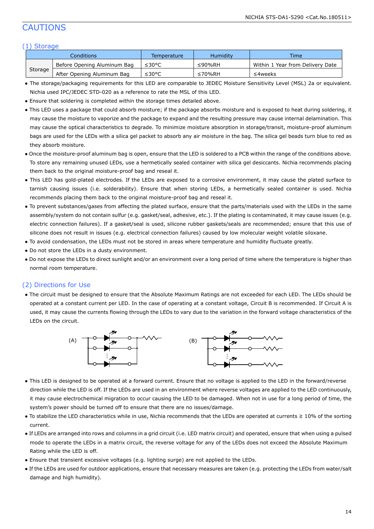### CAUTIONS

#### (1) Storage

|         | Conditions                  | Temperature | Humidity       | <b>Time</b>                      |
|---------|-----------------------------|-------------|----------------|----------------------------------|
|         | Before Opening Aluminum Bag | ≤30°C       | ≤90%RH         | Within 1 Year from Delivery Date |
| Storage | After Opening Aluminum Bag  | ≤30°C       | $\leq 70\%$ RH | ≤4weeks                          |

- The storage/packaging requirements for this LED are comparable to JEDEC Moisture Sensitivity Level (MSL) 2a or equivalent. Nichia used IPC/JEDEC STD-020 as a reference to rate the MSL of this LED.
- Ensure that soldering is completed within the storage times detailed above.
- This LED uses a package that could absorb moisture; if the package absorbs moisture and is exposed to heat during soldering, it may cause the moisture to vaporize and the package to expand and the resulting pressure may cause internal delamination. This may cause the optical characteristics to degrade. To minimize moisture absorption in storage/transit, moisture-proof aluminum bags are used for the LEDs with a silica gel packet to absorb any air moisture in the bag. The silica gel beads turn blue to red as they absorb moisture.
- Once the moisture-proof aluminum bag is open, ensure that the LED is soldered to a PCB within the range of the conditions above. To store any remaining unused LEDs, use a hermetically sealed container with silica gel desiccants. Nichia recommends placing them back to the original moisture-proof bag and reseal it.
- This LED has gold-plated electrodes. If the LEDs are exposed to a corrosive environment, it may cause the plated surface to tarnish causing issues (i.e. solderability). Ensure that when storing LEDs, a hermetically sealed container is used. Nichia recommends placing them back to the original moisture-proof bag and reseal it.
- To prevent substances/gases from affecting the plated surface, ensure that the parts/materials used with the LEDs in the same assembly/system do not contain sulfur (e.g. gasket/seal, adhesive, etc.). If the plating is contaminated, it may cause issues (e.g. electric connection failures). If a gasket/seal is used, silicone rubber gaskets/seals are recommended; ensure that this use of silicone does not result in issues (e.g. electrical connection failures) caused by low molecular weight volatile siloxane.
- To avoid condensation, the LEDs must not be stored in areas where temperature and humidity fluctuate greatly.
- Do not store the LEDs in a dusty environment.
- Do not expose the LEDs to direct sunlight and/or an environment over a long period of time where the temperature is higher than normal room temperature.

#### (2) Directions for Use

● The circuit must be designed to ensure that the Absolute Maximum Ratings are not exceeded for each LED. The LEDs should be operated at a constant current per LED. In the case of operating at a constant voltage, Circuit B is recommended. If Circuit A is used, it may cause the currents flowing through the LEDs to vary due to the variation in the forward voltage characteristics of the LEDs on the circuit.



- This LED is designed to be operated at a forward current. Ensure that no voltage is applied to the LED in the forward/reverse direction while the LED is off. If the LEDs are used in an environment where reverse voltages are applied to the LED continuously, it may cause electrochemical migration to occur causing the LED to be damaged. When not in use for a long period of time, the system's power should be turned off to ensure that there are no issues/damage.
- To stabilize the LED characteristics while in use, Nichia recommends that the LEDs are operated at currents ≥ 10% of the sorting current.
- If LEDs are arranged into rows and columns in a grid circuit (i.e. LED matrix circuit) and operated, ensure that when using a pulsed mode to operate the LEDs in a matrix circuit, the reverse voltage for any of the LEDs does not exceed the Absolute Maximum Rating while the LED is off.
- Ensure that transient excessive voltages (e.g. lighting surge) are not applied to the LEDs.
- If the LEDs are used for outdoor applications, ensure that necessary measures are taken (e.g. protecting the LEDs from water/salt damage and high humidity).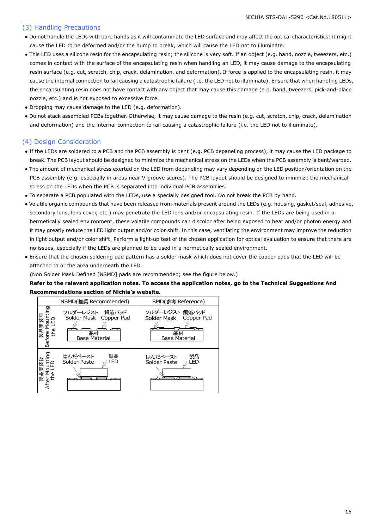#### (3) Handling Precautions

- Do not handle the LEDs with bare hands as it will contaminate the LED surface and may affect the optical characteristics: it might cause the LED to be deformed and/or the bump to break, which will cause the LED not to illuminate.
- This LED uses a silicone resin for the encapsulating resin; the silicone is very soft. If an object (e.g. hand, nozzle, tweezers, etc.) comes in contact with the surface of the encapsulating resin when handling an LED, it may cause damage to the encapsulating resin surface (e.g. cut, scratch, chip, crack, delamination, and deformation). If force is applied to the encapsulating resin, it may cause the internal connection to fail causing a catastrophic failure (i.e. the LED not to illuminate). Ensure that when handling LEDs, the encapsulating resin does not have contact with any object that may cause this damage (e.g. hand, tweezers, pick-and-place nozzle, etc.) and is not exposed to excessive force.
- Dropping may cause damage to the LED (e.g. deformation).
- Do not stack assembled PCBs together. Otherwise, it may cause damage to the resin (e.g. cut, scratch, chip, crack, delamination and deformation) and the internal connection to fail causing a catastrophic failure (i.e. the LED not to illuminate).

#### (4) Design Consideration

- If the LEDs are soldered to a PCB and the PCB assembly is bent (e.g. PCB depaneling process), it may cause the LED package to break. The PCB layout should be designed to minimize the mechanical stress on the LEDs when the PCB assembly is bent/warped.
- The amount of mechanical stress exerted on the LED from depaneling may vary depending on the LED position/orientation on the PCB assembly (e.g. especially in areas near V-groove scores). The PCB layout should be designed to minimize the mechanical stress on the LEDs when the PCB is separated into individual PCB assemblies.
- To separate a PCB populated with the LEDs, use a specially designed tool. Do not break the PCB by hand.
- Volatile organic compounds that have been released from materials present around the LEDs (e.g. housing, gasket/seal, adhesive, secondary lens, lens cover, etc.) may penetrate the LED lens and/or encapsulating resin. If the LEDs are being used in a hermetically sealed environment, these volatile compounds can discolor after being exposed to heat and/or photon energy and it may greatly reduce the LED light output and/or color shift. In this case, ventilating the environment may improve the reduction in light output and/or color shift. Perform a light-up test of the chosen application for optical evaluation to ensure that there are no issues, especially if the LEDs are planned to be used in a hermetically sealed environment.
- Ensure that the chosen soldering pad pattern has a solder mask which does not cover the copper pads that the LED will be attached to or the area underneath the LED.

(Non Solder Mask Defined [NSMD] pads are recommended; see the figure below.)

#### **Refer to the relevant application notes. To access the application notes, go to the Technical Suggestions And Recommendations section of Nichia's website.**

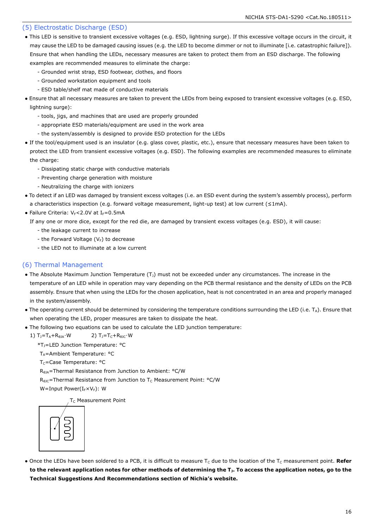#### (5) Electrostatic Discharge (ESD)

- This LED is sensitive to transient excessive voltages (e.g. ESD, lightning surge). If this excessive voltage occurs in the circuit, it may cause the LED to be damaged causing issues (e.g. the LED to become dimmer or not to illuminate [i.e. catastrophic failure]). Ensure that when handling the LEDs, necessary measures are taken to protect them from an ESD discharge. The following examples are recommended measures to eliminate the charge:
	- Grounded wrist strap, ESD footwear, clothes, and floors
	- Grounded workstation equipment and tools
	- ESD table/shelf mat made of conductive materials
- Ensure that all necessary measures are taken to prevent the LEDs from being exposed to transient excessive voltages (e.g. ESD, lightning surge):
	- tools, jigs, and machines that are used are properly grounded
	- appropriate ESD materials/equipment are used in the work area
	- the system/assembly is designed to provide ESD protection for the LEDs
- If the tool/equipment used is an insulator (e.g. glass cover, plastic, etc.), ensure that necessary measures have been taken to protect the LED from transient excessive voltages (e.g. ESD). The following examples are recommended measures to eliminate the charge:
	- Dissipating static charge with conductive materials
	- Preventing charge generation with moisture
	- Neutralizing the charge with ionizers
- To detect if an LED was damaged by transient excess voltages (i.e. an ESD event during the system's assembly process), perform a characteristics inspection (e.g. forward voltage measurement, light-up test) at low current (≤1mA).
- Failure Criteria:  $V_F < 2.0V$  at I $_F = 0.5mA$

If any one or more dice, except for the red die, are damaged by transient excess voltages (e.g. ESD), it will cause:

- the leakage current to increase
- the Forward Voltage  $(V_F)$  to decrease
- the LED not to illuminate at a low current

### (6) Thermal Management

- The Absolute Maximum Junction Temperature  $(T<sub>J</sub>)$  must not be exceeded under any circumstances. The increase in the temperature of an LED while in operation may vary depending on the PCB thermal resistance and the density of LEDs on the PCB assembly. Ensure that when using the LEDs for the chosen application, heat is not concentrated in an area and properly managed in the system/assembly.
- The operating current should be determined by considering the temperature conditions surrounding the LED (i.e.  $T_A$ ). Ensure that when operating the LED, proper measures are taken to dissipate the heat.
- The following two equations can be used to calculate the LED junction temperature:
	- 1)  $T_1 = T_A + R_{\theta} + W$  2)  $T_1 = T_C + R_{\theta} + W$ 
		- \*TJ=LED Junction Temperature: °C
		- T<sub>A</sub>=Ambient Temperature: °C
		- T<sub>C</sub>=Case Temperature: °C

R<sub>θJA</sub>=Thermal Resistance from Junction to Ambient: °C/W

 $R_{\theta$ JC=Thermal Resistance from Junction to T<sub>C</sub> Measurement Point: °C/W

W=Input Power( $I_F\times V_F$ ): W

T<sub>C</sub> Measurement Point



• Once the LEDs have been soldered to a PCB, it is difficult to measure T<sub>c</sub> due to the location of the T<sub>C</sub> measurement point. Refer **to the relevant application notes for other methods of determining the TJ. To access the application notes, go to the Technical Suggestions And Recommendations section of Nichia's website.**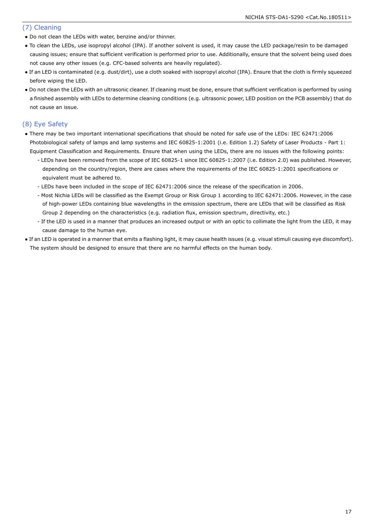#### (7) Cleaning

- Do not clean the LEDs with water, benzine and/or thinner.
- To clean the LEDs, use isopropyl alcohol (IPA). If another solvent is used, it may cause the LED package/resin to be damaged causing issues; ensure that sufficient verification is performed prior to use. Additionally, ensure that the solvent being used does not cause any other issues (e.g. CFC-based solvents are heavily regulated).
- If an LED is contaminated (e.g. dust/dirt), use a cloth soaked with isopropyl alcohol (IPA). Ensure that the cloth is firmly squeezed before wiping the LED.
- Do not clean the LEDs with an ultrasonic cleaner. If cleaning must be done, ensure that sufficient verification is performed by using a finished assembly with LEDs to determine cleaning conditions (e.g. ultrasonic power, LED position on the PCB assembly) that do not cause an issue.

### (8) Eye Safety

- There may be two important international specifications that should be noted for safe use of the LEDs: IEC 62471:2006 Photobiological safety of lamps and lamp systems and IEC 60825-1:2001 (i.e. Edition 1.2) Safety of Laser Products - Part 1: Equipment Classification and Requirements. Ensure that when using the LEDs, there are no issues with the following points:
	- LEDs have been removed from the scope of IEC 60825-1 since IEC 60825-1:2007 (i.e. Edition 2.0) was published. However, depending on the country/region, there are cases where the requirements of the IEC 60825-1:2001 specifications or equivalent must be adhered to.
	- LEDs have been included in the scope of IEC 62471:2006 since the release of the specification in 2006.
	- Most Nichia LEDs will be classified as the Exempt Group or Risk Group 1 according to IEC 62471:2006. However, in the case of high-power LEDs containing blue wavelengths in the emission spectrum, there are LEDs that will be classified as Risk Group 2 depending on the characteristics (e.g. radiation flux, emission spectrum, directivity, etc.)
	- If the LED is used in a manner that produces an increased output or with an optic to collimate the light from the LED, it may cause damage to the human eye.
- If an LED is operated in a manner that emits a flashing light, it may cause health issues (e.g. visual stimuli causing eye discomfort). The system should be designed to ensure that there are no harmful effects on the human body.